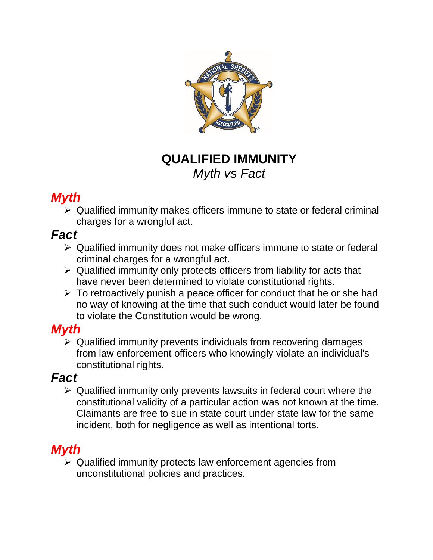

## **QUALIFIED IMMUNITY** *Myth vs Fact*

## *Myth*

➢ Qualified immunity makes officers immune to state or federal criminal charges for a wrongful act.

#### *Fact*

- ➢ Qualified immunity does not make officers immune to state or federal criminal charges for a wrongful act.
- $\triangleright$  Qualified immunity only protects officers from liability for acts that have never been determined to violate constitutional rights.
- $\triangleright$  To retroactively punish a peace officer for conduct that he or she had no way of knowing at the time that such conduct would later be found to violate the Constitution would be wrong.

### *Myth*

➢ Qualified immunity prevents individuals from recovering damages from law enforcement officers who knowingly violate an individual's constitutional rights.

### *Fact*

➢ Qualified immunity only prevents lawsuits in federal court where the constitutional validity of a particular action was not known at the time. Claimants are free to sue in state court under state law for the same incident, both for negligence as well as intentional torts.

# *Myth*

➢ Qualified immunity protects law enforcement agencies from unconstitutional policies and practices.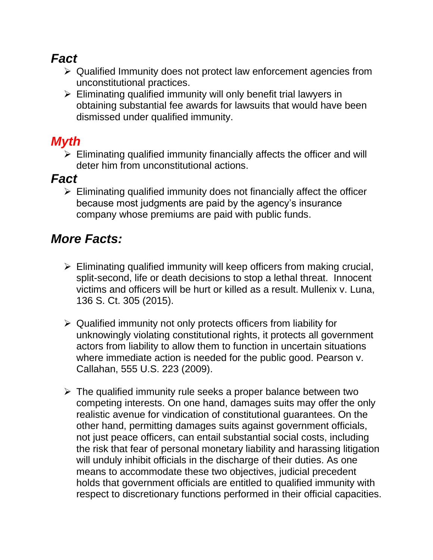## *Fact*

- ➢ Qualified Immunity does not protect law enforcement agencies from unconstitutional practices.
- ➢ Eliminating qualified immunity will only benefit trial lawyers in obtaining substantial fee awards for lawsuits that would have been dismissed under qualified immunity.

# *Myth*

 $\triangleright$  Eliminating qualified immunity financially affects the officer and will deter him from unconstitutional actions.

## *Fact*

 $\triangleright$  Eliminating qualified immunity does not financially affect the officer because most judgments are paid by the agency's insurance company whose premiums are paid with public funds.

# *More Facts:*

- $\triangleright$  Eliminating qualified immunity will keep officers from making crucial, split-second, life or death decisions to stop a lethal threat. Innocent victims and officers will be hurt or killed as a result. Mullenix v. Luna, 136 S. Ct. 305 (2015).
- ➢ Qualified immunity not only protects officers from liability for unknowingly violating constitutional rights, it protects all government actors from liability to allow them to function in uncertain situations where immediate action is needed for the public good. Pearson v. Callahan, 555 U.S. 223 (2009).
- $\triangleright$  The qualified immunity rule seeks a proper balance between two competing interests. On one hand, damages suits may offer the only realistic avenue for vindication of constitutional guarantees. On the other hand, permitting damages suits against government officials, not just peace officers, can entail substantial social costs, including the risk that fear of personal monetary liability and harassing litigation will unduly inhibit officials in the discharge of their duties. As one means to accommodate these two objectives, judicial precedent holds that government officials are entitled to qualified immunity with respect to discretionary functions performed in their official capacities.